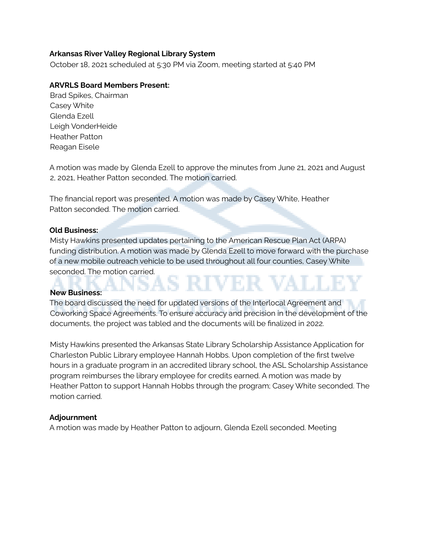### **Arkansas River Valley Regional Library System**

October 18, 2021 scheduled at 5:30 PM via Zoom, meeting started at 5:40 PM

## **ARVRLS Board Members Present:**

Brad Spikes, Chairman Casey White Glenda Ezell Leigh VonderHeide Heather Patton Reagan Eisele

A motion was made by Glenda Ezell to approve the minutes from June 21, 2021 and August 2, 2021, Heather Patton seconded. The motion carried.

The financial report was presented. A motion was made by Casey White, Heather Patton seconded. The motion carried.

### **Old Business:**

Misty Hawkins presented updates pertaining to the American Rescue Plan Act (ARPA) funding distribution. A motion was made by Glenda Ezell to move forward with the purchase of a new mobile outreach vehicle to be used throughout all four counties, Casey White seconded. The motion carried.

### **New Business:**

The board discussed the need for updated versions of the Interlocal Agreement and Coworking Space Agreements. To ensure accuracy and precision in the development of the documents, the project was tabled and the documents will be finalized in 2022.

Misty Hawkins presented the Arkansas State Library Scholarship Assistance Application for Charleston Public Library employee Hannah Hobbs. Upon completion of the first twelve hours in a graduate program in an accredited library school, the ASL Scholarship Assistance program reimburses the library employee for credits earned. A motion was made by Heather Patton to support Hannah Hobbs through the program; Casey White seconded. The motion carried.

### **Adjournment**

A motion was made by Heather Patton to adjourn, Glenda Ezell seconded. Meeting